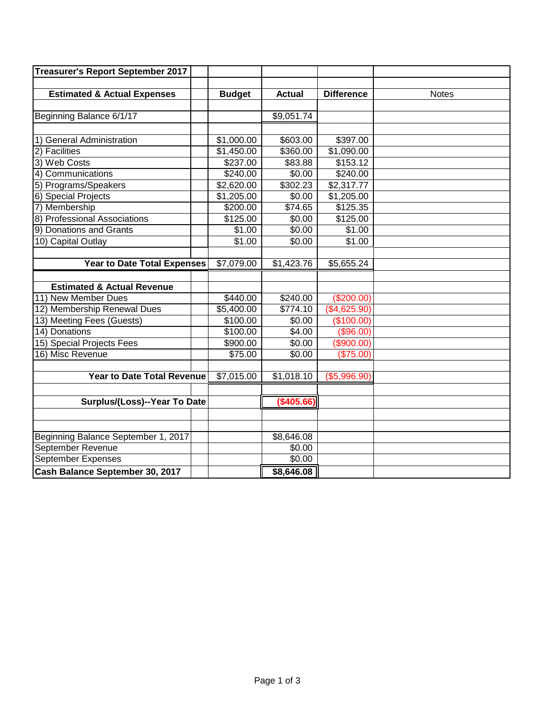| <b>Treasurer's Report September 2017</b> |               |               |                        |              |
|------------------------------------------|---------------|---------------|------------------------|--------------|
|                                          |               |               |                        |              |
| <b>Estimated &amp; Actual Expenses</b>   | <b>Budget</b> | <b>Actual</b> | <b>Difference</b>      | <b>Notes</b> |
|                                          |               |               |                        |              |
| Beginning Balance 6/1/17                 |               | \$9,051.74    |                        |              |
|                                          |               |               |                        |              |
| 1) General Administration                | \$1,000.00    | \$603.00      | \$397.00               |              |
| 2) Facilities                            | \$1,450.00    | \$360.00      | $\overline{$1,090.00}$ |              |
| 3) Web Costs                             | \$237.00      | \$83.88       | \$153.12               |              |
| 4) Communications                        | \$240.00      | \$0.00        | \$240.00               |              |
| 5) Programs/Speakers                     | \$2,620.00    | \$302.23      | \$2,317.77             |              |
| 6) Special Projects                      | \$1,205.00    | \$0.00        | \$1,205.00             |              |
| 7) Membership                            | \$200.00      | \$74.65       | \$125.35               |              |
| 8) Professional Associations             | \$125.00      | \$0.00        | \$125.00               |              |
| 9) Donations and Grants                  | \$1.00        | \$0.00        | \$1.00                 |              |
| 10) Capital Outlay                       | \$1.00        | \$0.00        | \$1.00                 |              |
|                                          |               |               |                        |              |
| <b>Year to Date Total Expenses</b>       | \$7,079.00    | \$1,423.76    | \$5,655.24             |              |
|                                          |               |               |                        |              |
| <b>Estimated &amp; Actual Revenue</b>    |               |               |                        |              |
| 11) New Member Dues                      | \$440.00      | \$240.00      | (\$200.00)             |              |
| 12) Membership Renewal Dues              | \$5,400.00    | \$774.10      | (\$4,625.90)           |              |
| 13) Meeting Fees (Guests)                | \$100.00      | \$0.00        | (\$100.00)             |              |
| 14) Donations                            | \$100.00      | \$4.00        | (\$96.00)              |              |
| 15) Special Projects Fees                | \$900.00      | \$0.00        | (\$900.00)             |              |
| 16) Misc Revenue                         | \$75.00       | \$0.00        | (\$75.00)              |              |
|                                          |               |               |                        |              |
| <b>Year to Date Total Revenue</b>        | \$7,015.00    | \$1,018.10    | (\$5,996.90)           |              |
|                                          |               |               |                        |              |
| Surplus/(Loss)--Year To Date             |               | (\$405.66)    |                        |              |
|                                          |               |               |                        |              |
|                                          |               |               |                        |              |
| Beginning Balance September 1, 2017      |               | \$8,646.08    |                        |              |
| September Revenue                        |               | \$0.00        |                        |              |
| <b>September Expenses</b>                |               | \$0.00        |                        |              |
| Cash Balance September 30, 2017          |               | \$8,646.08    |                        |              |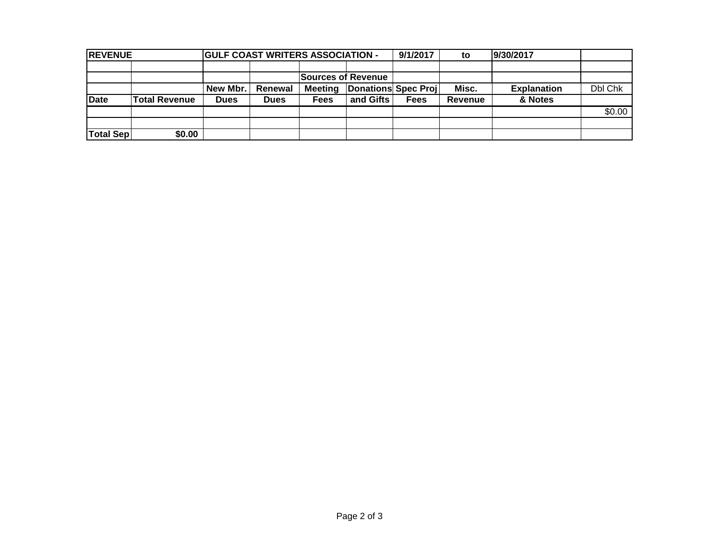| <b>REVENUE</b>   |                    |             | <b>GULF COAST WRITERS ASSOCIATION -</b> |                |                     | 9/1/2017    | to      | 9/30/2017          |         |
|------------------|--------------------|-------------|-----------------------------------------|----------------|---------------------|-------------|---------|--------------------|---------|
|                  |                    |             |                                         |                |                     |             |         |                    |         |
|                  | Sources of Revenue |             |                                         |                |                     |             |         |                    |         |
|                  |                    | New Mbr.    | Renewal                                 | <b>Meeting</b> | Donations Spec Proj |             | Misc.   | <b>Explanation</b> | Dbl Chk |
| <b>Date</b>      | Total Revenue      | <b>Dues</b> | <b>Dues</b>                             | <b>Fees</b>    | and Gifts           | <b>Fees</b> | Revenue | & Notes            |         |
|                  |                    |             |                                         |                |                     |             |         |                    | \$0.00  |
|                  |                    |             |                                         |                |                     |             |         |                    |         |
| <b>Total Sep</b> | \$0.00             |             |                                         |                |                     |             |         |                    |         |